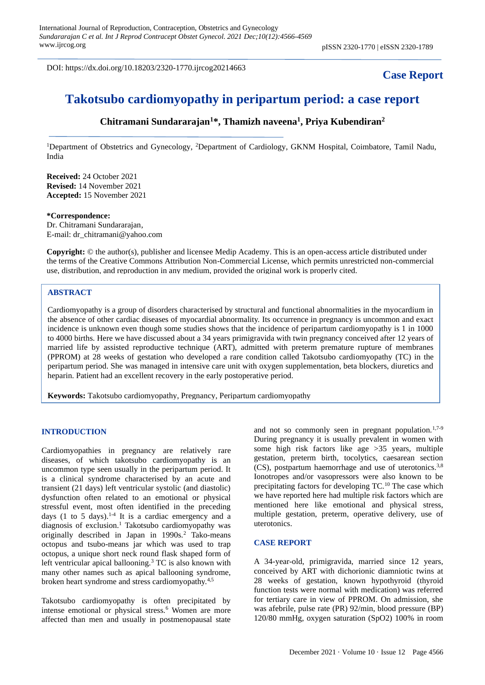DOI: https://dx.doi.org/10.18203/2320-1770.ijrcog20214663

## **Case Report**

# **Takotsubo cardiomyopathy in peripartum period: a case report**

### **Chitramani Sundararajan<sup>1</sup>\*, Thamizh naveena<sup>1</sup> , Priya Kubendiran<sup>2</sup>**

<sup>1</sup>Department of Obstetrics and Gynecology, <sup>2</sup>Department of Cardiology, GKNM Hospital, Coimbatore, Tamil Nadu, India

**Received:** 24 October 2021 **Revised:** 14 November 2021 **Accepted:** 15 November 2021

#### **\*Correspondence:**

Dr. Chitramani Sundararajan, E-mail: dr\_chitramani@yahoo.com

**Copyright:** © the author(s), publisher and licensee Medip Academy. This is an open-access article distributed under the terms of the Creative Commons Attribution Non-Commercial License, which permits unrestricted non-commercial use, distribution, and reproduction in any medium, provided the original work is properly cited.

#### **ABSTRACT**

Cardiomyopathy is a group of disorders characterised by structural and functional abnormalities in the myocardium in the absence of other cardiac diseases of myocardial abnormality. Its occurrence in pregnancy is uncommon and exact incidence is unknown even though some studies shows that the incidence of peripartum cardiomyopathy is 1 in 1000 to 4000 births. Here we have discussed about a 34 years primigravida with twin pregnancy conceived after 12 years of married life by assisted reproductive technique (ART), admitted with preterm premature rupture of membranes (PPROM) at 28 weeks of gestation who developed a rare condition called Takotsubo cardiomyopathy (TC) in the peripartum period. She was managed in intensive care unit with oxygen supplementation, beta blockers, diuretics and heparin. Patient had an excellent recovery in the early postoperative period.

**Keywords:** Takotsubo cardiomyopathy, Pregnancy, Peripartum cardiomyopathy

#### **INTRODUCTION**

Cardiomyopathies in pregnancy are relatively rare diseases, of which takotsubo cardiomyopathy is an uncommon type seen usually in the peripartum period. It is a clinical syndrome characterised by an acute and transient (21 days) left ventricular systolic (and diastolic) dysfunction often related to an emotional or physical stressful event, most often identified in the preceding days (1 to 5 days).<sup>1-4</sup> It is a cardiac emergency and a diagnosis of exclusion.<sup>1</sup> Takotsubo cardiomyopathy was originally described in Japan in 1990s.<sup>2</sup> Tako-means octopus and tsubo-means jar which was used to trap octopus, a unique short neck round flask shaped form of left ventricular apical ballooning.<sup>3</sup> TC is also known with many other names such as apical ballooning syndrome, broken heart syndrome and stress cardiomyopathy.4,5

Takotsubo cardiomyopathy is often precipitated by intense emotional or physical stress.<sup>6</sup> Women are more affected than men and usually in postmenopausal state and not so commonly seen in pregnant population. $1,7-9$ During pregnancy it is usually prevalent in women with some high risk factors like age >35 years, multiple gestation, preterm birth, tocolytics, caesarean section (CS), postpartum haemorrhage and use of uterotonics.3,8 Ionotropes and/or vasopressors were also known to be precipitating factors for developing  $TC<sup>10</sup>$  The case which we have reported here had multiple risk factors which are mentioned here like emotional and physical stress, multiple gestation, preterm, operative delivery, use of uterotonics.

#### **CASE REPORT**

A 34-year-old, primigravida, married since 12 years, conceived by ART with dichorionic diamniotic twins at 28 weeks of gestation, known hypothyroid (thyroid function tests were normal with medication) was referred for tertiary care in view of PPROM. On admission, she was afebrile, pulse rate (PR) 92/min, blood pressure (BP) 120/80 mmHg, oxygen saturation (SpO2) 100% in room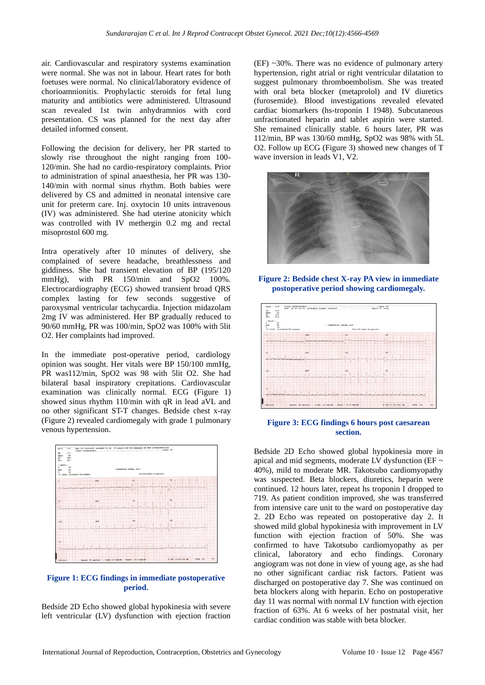air. Cardiovascular and respiratory systems examination were normal. She was not in labour. Heart rates for both foetuses were normal. No clinical/laboratory evidence of chorioamnionitis. Prophylactic steroids for fetal lung maturity and antibiotics were administered. Ultrasound scan revealed 1st twin anhydramnios with cord presentation. CS was planned for the next day after detailed informed consent.

Following the decision for delivery, her PR started to slowly rise throughout the night ranging from 100- 120/min. She had no cardio-respiratory complaints. Prior to administration of spinal anaesthesia, her PR was 130- 140/min with normal sinus rhythm. Both babies were delivered by CS and admitted in neonatal intensive care unit for preterm care. Inj. oxytocin 10 units intravenous (IV) was administered. She had uterine atonicity which was controlled with IV methergin 0.2 mg and rectal misoprostol 600 mg.

Intra operatively after 10 minutes of delivery, she complained of severe headache, breathlessness and giddiness. She had transient elevation of BP (195/120 mmHg), with PR 150/min and SpO2 100%. Electrocardiography (ECG) showed transient broad QRS complex lasting for few seconds suggestive of paroxysmal ventricular tachycardia. Injection midazolam 2mg IV was administered. Her BP gradually reduced to 90/60 mmHg, PR was 100/min, SpO2 was 100% with 5lit O2. Her complaints had improved.

In the immediate post-operative period, cardiology opinion was sought. Her vitals were BP 150/100 mmHg, PR was112/min, SpO2 was 98 with 5lit O2. She had bilateral basal inspiratory crepitations. Cardiovascular examination was clinically normal. ECG (Figure 1) showed sinus rhythm 110/min with qR in lead aVL and no other significant ST-T changes. Bedside chest x-ray (Figure 2) revealed cardiomegaly with grade 1 pulmonary venous hypertension.



#### **Figure 1: ECG findings in immediate postoperative period.**

Bedside 2D Echo showed global hypokinesia with severe left ventricular (LV) dysfunction with ejection fraction (EF) ~30%. There was no evidence of pulmonary artery hypertension, right atrial or right ventricular dilatation to suggest pulmonary thromboembolism. She was treated with oral beta blocker (metaprolol) and IV diuretics (furosemide). Blood investigations revealed elevated cardiac biomarkers (hs-troponin I 1948). Subcutaneous unfractionated heparin and tablet aspirin were started. She remained clinically stable. 6 hours later, PR was 112/min, BP was 130/60 mmHg, SpO2 was 98% with 5L O2. Follow up ECG (Figure 3) showed new changes of T wave inversion in leads V1, V2.



**Figure 2: Bedside chest X-ray PA view in immediate postoperative period showing cardiomegaly.**



**Figure 3: ECG findings 6 hours post caesarean section.**

Bedside 2D Echo showed global hypokinesia more in apical and mid segments, moderate LV dysfunction (EF  $\sim$ 40%), mild to moderate MR. Takotsubo cardiomyopathy was suspected. Beta blockers, diuretics, heparin were continued. 12 hours later, repeat hs troponin I dropped to 719. As patient condition improved, she was transferred from intensive care unit to the ward on postoperative day 2. 2D Echo was repeated on postoperative day 2. It showed mild global hypokinesia with improvement in LV function with ejection fraction of 50%. She was confirmed to have Takotsubo cardiomyopathy as per clinical, laboratory and echo findings. Coronary angiogram was not done in view of young age, as she had no other significant cardiac risk factors. Patient was discharged on postoperative day 7. She was continued on beta blockers along with heparin. Echo on postoperative day 11 was normal with normal LV function with ejection fraction of 63%. At 6 weeks of her postnatal visit, her cardiac condition was stable with beta blocker.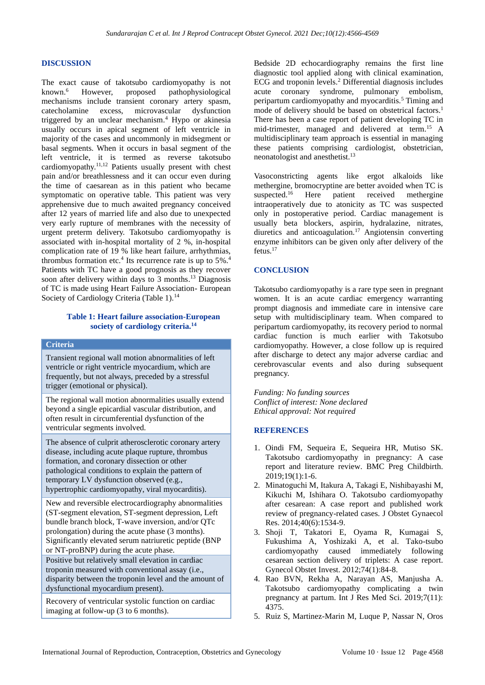#### **DISCUSSION**

The exact cause of takotsubo cardiomyopathy is not known.<sup>6</sup> However, proposed pathophysiological mechanisms include transient coronary artery spasm, catecholamine excess, microvascular dysfunction triggered by an unclear mechanism.<sup>4</sup> Hypo or akinesia usually occurs in apical segment of left ventricle in majority of the cases and uncommonly in midsegment or basal segments. When it occurs in basal segment of the left ventricle, it is termed as reverse takotsubo cardiomyopathy.11,12 Patients usually present with chest pain and/or breathlessness and it can occur even during the time of caesarean as in this patient who became symptomatic on operative table. This patient was very apprehensive due to much awaited pregnancy conceived after 12 years of married life and also due to unexpected very early rupture of membranes with the necessity of urgent preterm delivery. Takotsubo cardiomyopathy is associated with in-hospital mortality of 2 %, in-hospital complication rate of 19 % like heart failure, arrhythmias, thrombus formation etc.<sup>4</sup> Its recurrence rate is up to  $5\%$ .<sup>4</sup> Patients with TC have a good prognosis as they recover soon after delivery within days to 3 months. <sup>13</sup> Diagnosis of TC is made using Heart Failure Association- European Society of Cardiology Criteria (Table 1).<sup>14</sup>

#### **Table 1: Heart failure association-European society of cardiology criteria.<sup>14</sup>**

#### **Criteria**

Transient regional wall motion abnormalities of left ventricle or right ventricle myocardium, which are frequently, but not always, preceded by a stressful trigger (emotional or physical).

The regional wall motion abnormalities usually extend beyond a single epicardial vascular distribution, and often result in circumferential dysfunction of the ventricular segments involved.

The absence of culprit atherosclerotic coronary artery disease, including acute plaque rupture, thrombus formation, and coronary dissection or other pathological conditions to explain the pattern of temporary LV dysfunction observed (e.g., hypertrophic cardiomyopathy, viral myocarditis).

New and reversible electrocardiography abnormalities (ST-segment elevation, ST-segment depression, Left bundle branch block, T-wave inversion, and/or QTc prolongation) during the acute phase (3 months). Significantly elevated serum natriuretic peptide (BNP or NT-proBNP) during the acute phase. Positive but relatively small elevation in cardiac

troponin measured with conventional assay (i.e., disparity between the troponin level and the amount of dysfunctional myocardium present).

Recovery of ventricular systolic function on cardiac imaging at follow-up (3 to 6 months).

Bedside 2D echocardiography remains the first line diagnostic tool applied along with clinical examination, ECG and troponin levels.<sup>2</sup> Differential diagnosis includes acute coronary syndrome, pulmonary embolism, peripartum cardiomyopathy and myocarditis.<sup>5</sup> Timing and mode of delivery should be based on obstetrical factors.<sup>1</sup> There has been a case report of patient developing TC in mid-trimester, managed and delivered at term.<sup>15</sup> A multidisciplinary team approach is essential in managing these patients comprising cardiologist, obstetrician, neonatologist and anesthetist.<sup>13</sup>

Vasoconstricting agents like ergot alkaloids like methergine, bromocryptine are better avoided when TC is suspected.<sup>16</sup> Here patient received methergine intraoperatively due to atonicity as TC was suspected only in postoperative period. Cardiac management is usually beta blockers, aspirin, hydralazine, nitrates, diuretics and anticoagulation.<sup>17</sup> Angiotensin converting enzyme inhibitors can be given only after delivery of the fetus.<sup>17</sup>

#### **CONCLUSION**

Takotsubo cardiomyopathy is a rare type seen in pregnant women. It is an acute cardiac emergency warranting prompt diagnosis and immediate care in intensive care setup with multidisciplinary team. When compared to peripartum cardiomyopathy, its recovery period to normal cardiac function is much earlier with Takotsubo cardiomyopathy. However, a close follow up is required after discharge to detect any major adverse cardiac and cerebrovascular events and also during subsequent pregnancy.

*Funding: No funding sources Conflict of interest: None declared Ethical approval: Not required*

#### **REFERENCES**

- 1. Oindi FM, Sequeira E, Sequeira HR, Mutiso SK. Takotsubo cardiomyopathy in pregnancy: A case report and literature review. BMC Preg Childbirth. 2019;19(1):1-6.
- 2. Minatoguchi M, Itakura A, Takagi E, Nishibayashi M, Kikuchi M, Ishihara O. Takotsubo cardiomyopathy after cesarean: A case report and published work review of pregnancy-related cases. J Obstet Gynaecol Res. 2014;40(6):1534-9.
- 3. Shoji T, Takatori E, Oyama R, Kumagai S, Fukushima A, Yoshizaki A, et al. Tako-tsubo cardiomyopathy caused immediately following cesarean section delivery of triplets: A case report. Gynecol Obstet Invest. 2012;74(1):84-8.
- 4. Rao BVN, Rekha A, Narayan AS, Manjusha A. Takotsubo cardiomyopathy complicating a twin pregnancy at partum. Int J Res Med Sci. 2019;7(11): 4375.
- 5. Ruiz S, Martinez-Marin M, Luque P, Nassar N, Oros